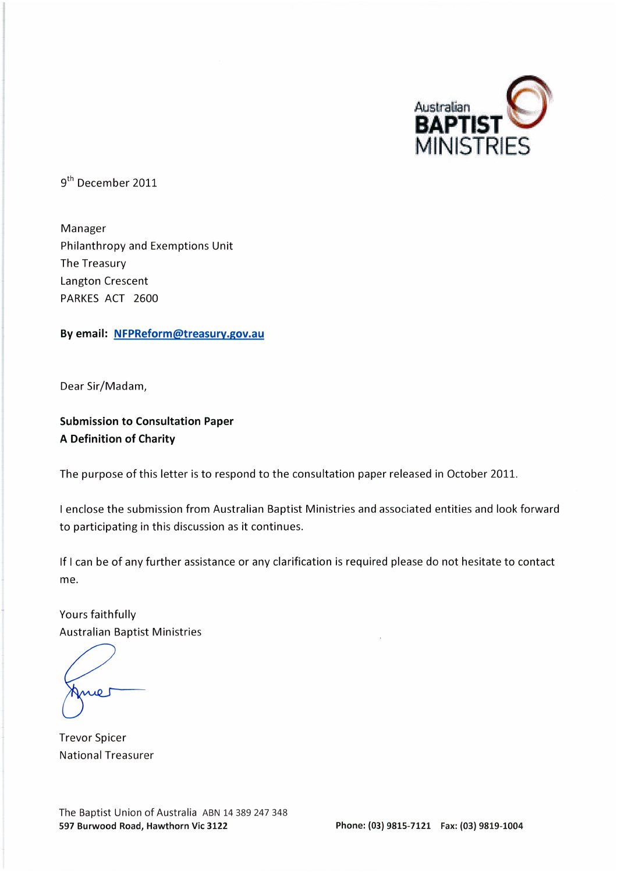

9<sup>th</sup> December 2011

Manager Philanthropy and Exemptions Unit The Treasury Langton Crescent PARKES ACT 2600

By email: NFPReform@treasury.gov.au

Dear Sir/Madam,

**Submission to Consultation Paper A Definition of Charity** 

The purpose of this letter is to respond to the consultation paper released in October 2011.

I enclose the submission from Australian Baptist Ministries and associated entities and look forward to participating in this discussion as it continues.

If I can be of any further assistance or any clarification is required please do not hesitate to contact me.

Yours faithfully **Australian Baptist Ministries** 

**Trevor Spicer National Treasurer** 

The Baptist Union of Australia ABN 14 389 247 348 597 Burwood Road, Hawthorn Vic 3122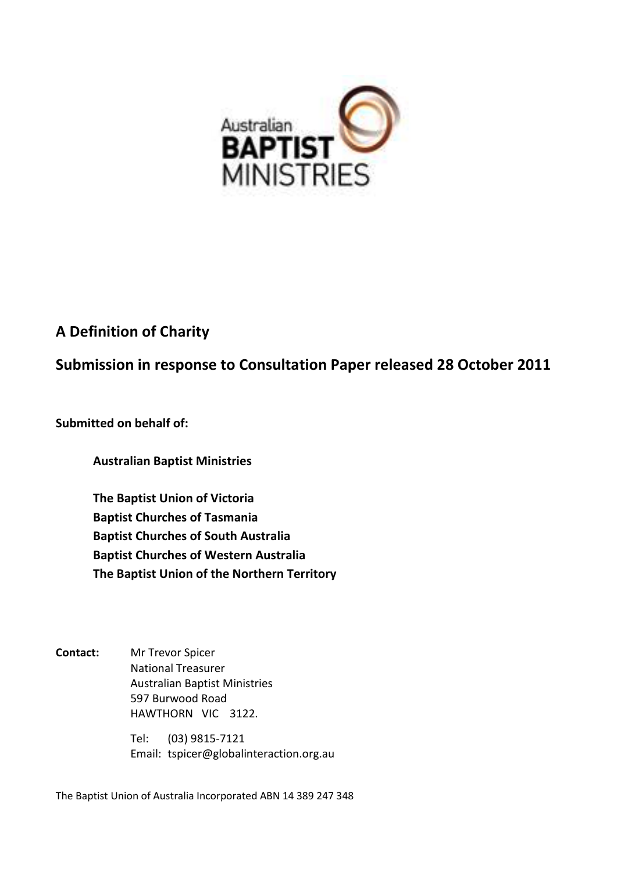

# **A Definition of Charity**

**Submission in response to Consultation Paper released 28 October 2011**

**Submitted on behalf of:**

**Australian Baptist Ministries**

**The Baptist Union of Victoria Baptist Churches of Tasmania Baptist Churches of South Australia Baptist Churches of Western Australia The Baptist Union of the Northern Territory**

**Contact:** Mr Trevor Spicer National Treasurer Australian Baptist Ministries 597 Burwood Road HAWTHORN VIC 3122.

> Tel: (03) 9815-7121 Email: tspicer@globalinteraction.org.au

The Baptist Union of Australia Incorporated ABN 14 389 247 348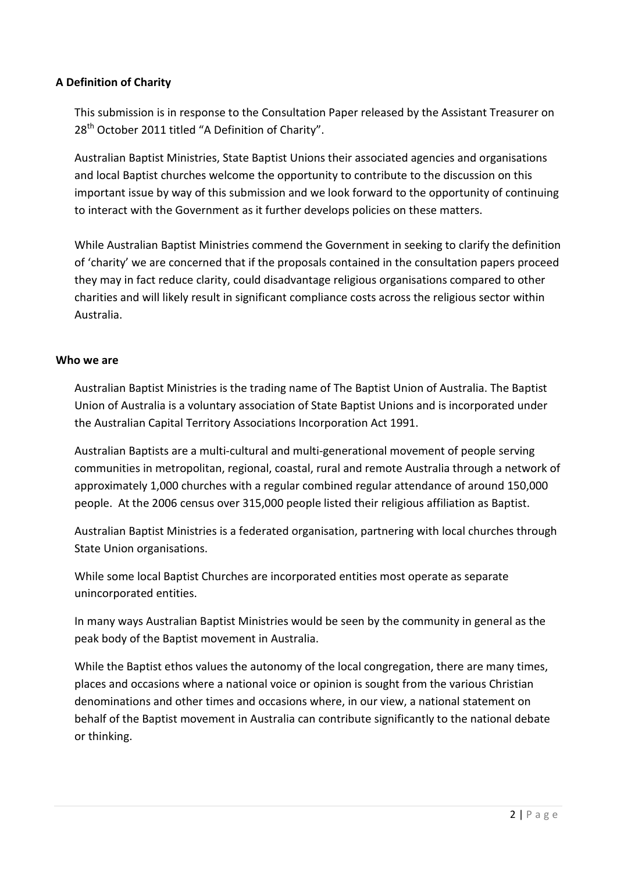# **A Definition of Charity**

This submission is in response to the Consultation Paper released by the Assistant Treasurer on 28<sup>th</sup> October 2011 titled "A Definition of Charity".

Australian Baptist Ministries, State Baptist Unions their associated agencies and organisations and local Baptist churches welcome the opportunity to contribute to the discussion on this important issue by way of this submission and we look forward to the opportunity of continuing to interact with the Government as it further develops policies on these matters.

While Australian Baptist Ministries commend the Government in seeking to clarify the definition of 'charity' we are concerned that if the proposals contained in the consultation papers proceed they may in fact reduce clarity, could disadvantage religious organisations compared to other charities and will likely result in significant compliance costs across the religious sector within Australia.

#### **Who we are**

Australian Baptist Ministries is the trading name of The Baptist Union of Australia. The Baptist Union of Australia is a voluntary association of State Baptist Unions and is incorporated under the Australian Capital Territory Associations Incorporation Act 1991.

Australian Baptists are a multi-cultural and multi-generational movement of people serving communities in metropolitan, regional, coastal, rural and remote Australia through a network of approximately 1,000 churches with a regular combined regular attendance of around 150,000 people. At the 2006 census over 315,000 people listed their religious affiliation as Baptist.

Australian Baptist Ministries is a federated organisation, partnering with local churches through State Union organisations.

While some local Baptist Churches are incorporated entities most operate as separate unincorporated entities.

In many ways Australian Baptist Ministries would be seen by the community in general as the peak body of the Baptist movement in Australia.

While the Baptist ethos values the autonomy of the local congregation, there are many times, places and occasions where a national voice or opinion is sought from the various Christian denominations and other times and occasions where, in our view, a national statement on behalf of the Baptist movement in Australia can contribute significantly to the national debate or thinking.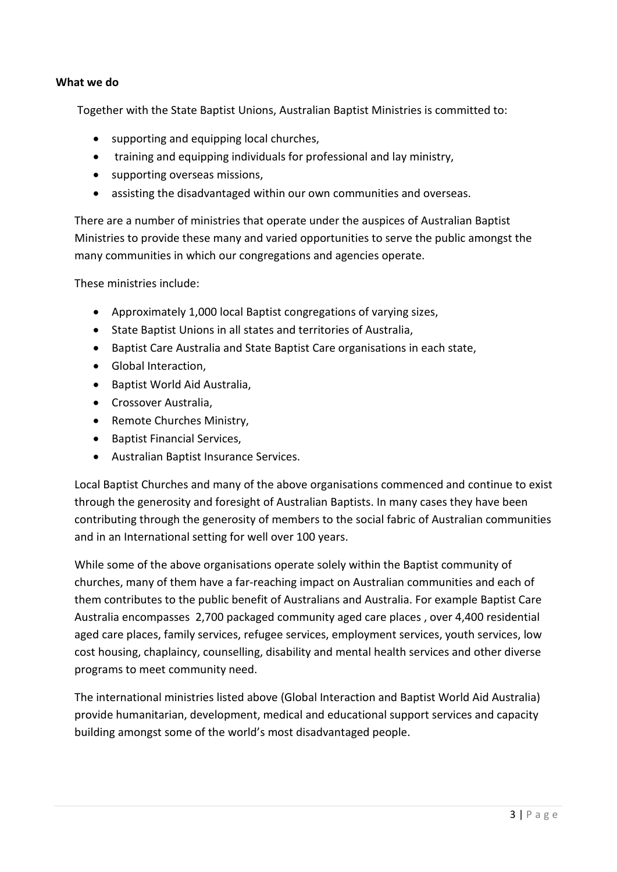#### **What we do**

Together with the State Baptist Unions, Australian Baptist Ministries is committed to:

- supporting and equipping local churches,
- training and equipping individuals for professional and lay ministry,
- supporting overseas missions,
- assisting the disadvantaged within our own communities and overseas.

There are a number of ministries that operate under the auspices of Australian Baptist Ministries to provide these many and varied opportunities to serve the public amongst the many communities in which our congregations and agencies operate.

These ministries include:

- Approximately 1,000 local Baptist congregations of varying sizes,
- State Baptist Unions in all states and territories of Australia,
- Baptist Care Australia and State Baptist Care organisations in each state,
- Global Interaction,
- Baptist World Aid Australia,
- Crossover Australia,
- Remote Churches Ministry,
- Baptist Financial Services,
- Australian Baptist Insurance Services.

Local Baptist Churches and many of the above organisations commenced and continue to exist through the generosity and foresight of Australian Baptists. In many cases they have been contributing through the generosity of members to the social fabric of Australian communities and in an International setting for well over 100 years.

While some of the above organisations operate solely within the Baptist community of churches, many of them have a far-reaching impact on Australian communities and each of them contributes to the public benefit of Australians and Australia. For example Baptist Care Australia encompasses 2,700 packaged community aged care places , over 4,400 residential aged care places, family services, refugee services, employment services, youth services, low cost housing, chaplaincy, counselling, disability and mental health services and other diverse programs to meet community need.

The international ministries listed above (Global Interaction and Baptist World Aid Australia) provide humanitarian, development, medical and educational support services and capacity building amongst some of the world's most disadvantaged people.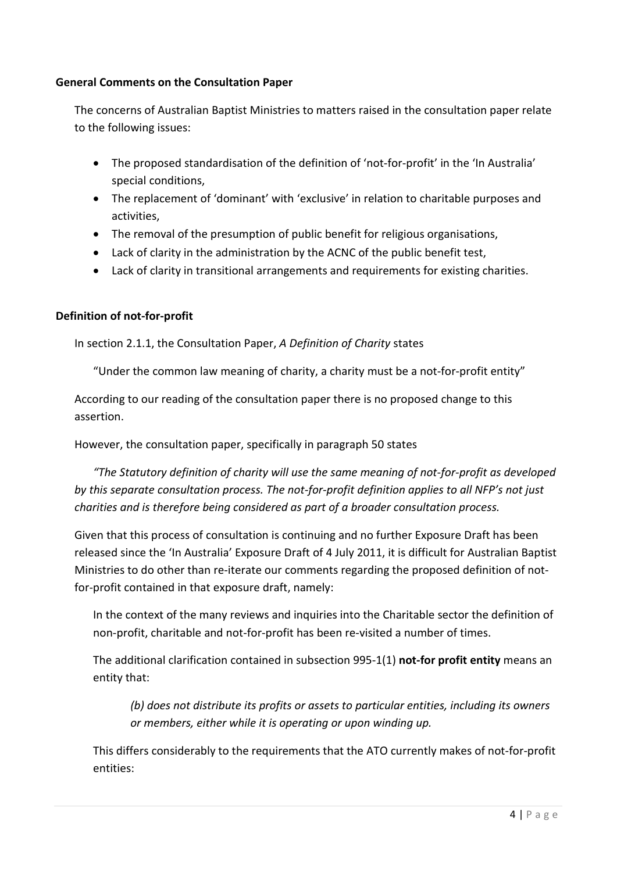# **General Comments on the Consultation Paper**

The concerns of Australian Baptist Ministries to matters raised in the consultation paper relate to the following issues:

- The proposed standardisation of the definition of 'not-for-profit' in the 'In Australia' special conditions,
- The replacement of 'dominant' with 'exclusive' in relation to charitable purposes and activities,
- The removal of the presumption of public benefit for religious organisations,
- Lack of clarity in the administration by the ACNC of the public benefit test,
- Lack of clarity in transitional arrangements and requirements for existing charities.

# **Definition of not-for-profit**

In section 2.1.1, the Consultation Paper, *A Definition of Charity* states

"Under the common law meaning of charity, a charity must be a not-for-profit entity"

According to our reading of the consultation paper there is no proposed change to this assertion.

However, the consultation paper, specifically in paragraph 50 states

*"The Statutory definition of charity will use the same meaning of not-for-profit as developed by this separate consultation process. The not-for-profit definition applies to all NFP's not just charities and is therefore being considered as part of a broader consultation process.*

Given that this process of consultation is continuing and no further Exposure Draft has been released since the 'In Australia' Exposure Draft of 4 July 2011, it is difficult for Australian Baptist Ministries to do other than re-iterate our comments regarding the proposed definition of notfor-profit contained in that exposure draft, namely:

In the context of the many reviews and inquiries into the Charitable sector the definition of non-profit, charitable and not-for-profit has been re-visited a number of times.

The additional clarification contained in subsection 995-1(1) **not-for profit entity** means an entity that:

*(b) does not distribute its profits or assets to particular entities, including its owners or members, either while it is operating or upon winding up.*

This differs considerably to the requirements that the ATO currently makes of not-for-profit entities: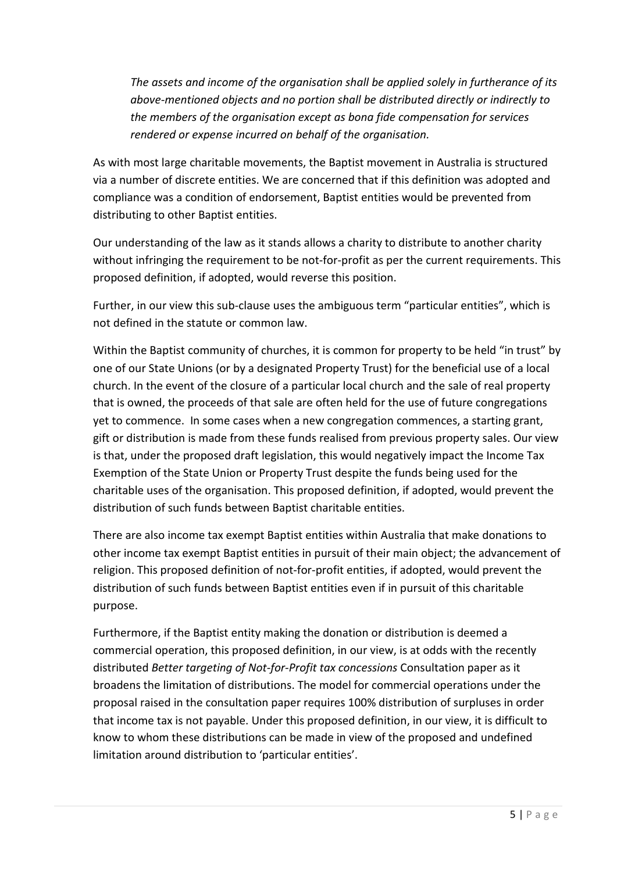*The assets and income of the organisation shall be applied solely in furtherance of its above-mentioned objects and no portion shall be distributed directly or indirectly to the members of the organisation except as bona fide compensation for services rendered or expense incurred on behalf of the organisation.*

As with most large charitable movements, the Baptist movement in Australia is structured via a number of discrete entities. We are concerned that if this definition was adopted and compliance was a condition of endorsement, Baptist entities would be prevented from distributing to other Baptist entities.

Our understanding of the law as it stands allows a charity to distribute to another charity without infringing the requirement to be not-for-profit as per the current requirements. This proposed definition, if adopted, would reverse this position.

Further, in our view this sub-clause uses the ambiguous term "particular entities", which is not defined in the statute or common law.

Within the Baptist community of churches, it is common for property to be held "in trust" by one of our State Unions (or by a designated Property Trust) for the beneficial use of a local church. In the event of the closure of a particular local church and the sale of real property that is owned, the proceeds of that sale are often held for the use of future congregations yet to commence. In some cases when a new congregation commences, a starting grant, gift or distribution is made from these funds realised from previous property sales. Our view is that, under the proposed draft legislation, this would negatively impact the Income Tax Exemption of the State Union or Property Trust despite the funds being used for the charitable uses of the organisation. This proposed definition, if adopted, would prevent the distribution of such funds between Baptist charitable entities.

There are also income tax exempt Baptist entities within Australia that make donations to other income tax exempt Baptist entities in pursuit of their main object; the advancement of religion. This proposed definition of not-for-profit entities, if adopted, would prevent the distribution of such funds between Baptist entities even if in pursuit of this charitable purpose.

Furthermore, if the Baptist entity making the donation or distribution is deemed a commercial operation, this proposed definition, in our view, is at odds with the recently distributed *Better targeting of Not-for-Profit tax concessions* Consultation paper as it broadens the limitation of distributions. The model for commercial operations under the proposal raised in the consultation paper requires 100% distribution of surpluses in order that income tax is not payable. Under this proposed definition, in our view, it is difficult to know to whom these distributions can be made in view of the proposed and undefined limitation around distribution to 'particular entities'.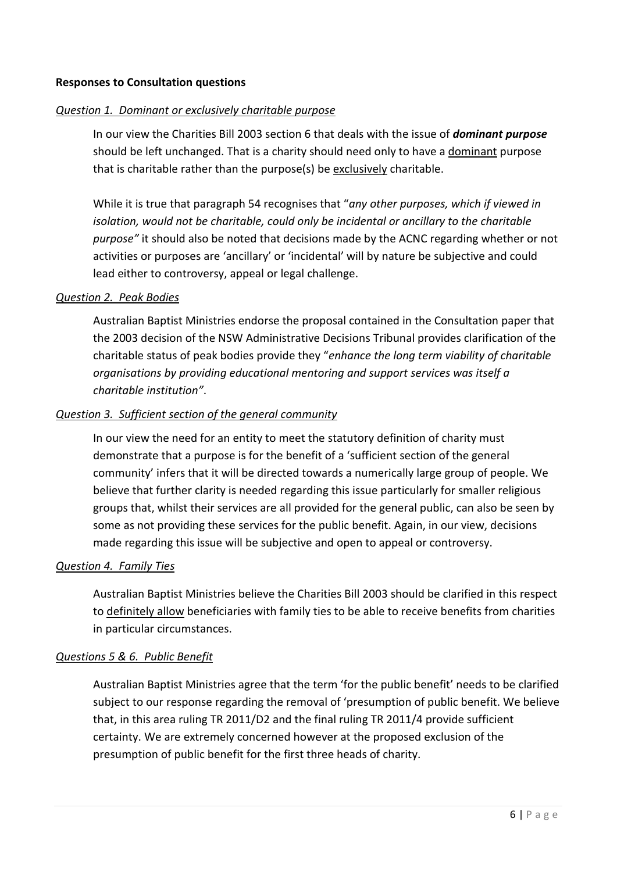#### **Responses to Consultation questions**

#### *Question 1. Dominant or exclusively charitable purpose*

In our view the Charities Bill 2003 section 6 that deals with the issue of *dominant purpose* should be left unchanged. That is a charity should need only to have a dominant purpose that is charitable rather than the purpose(s) be exclusively charitable.

While it is true that paragraph 54 recognises that "*any other purposes, which if viewed in isolation, would not be charitable, could only be incidental or ancillary to the charitable purpose"* it should also be noted that decisions made by the ACNC regarding whether or not activities or purposes are 'ancillary' or 'incidental' will by nature be subjective and could lead either to controversy, appeal or legal challenge.

#### *Question 2. Peak Bodies*

Australian Baptist Ministries endorse the proposal contained in the Consultation paper that the 2003 decision of the NSW Administrative Decisions Tribunal provides clarification of the charitable status of peak bodies provide they "*enhance the long term viability of charitable organisations by providing educational mentoring and support services was itself a charitable institution"*.

#### *Question 3. Sufficient section of the general community*

In our view the need for an entity to meet the statutory definition of charity must demonstrate that a purpose is for the benefit of a 'sufficient section of the general community' infers that it will be directed towards a numerically large group of people. We believe that further clarity is needed regarding this issue particularly for smaller religious groups that, whilst their services are all provided for the general public, can also be seen by some as not providing these services for the public benefit. Again, in our view, decisions made regarding this issue will be subjective and open to appeal or controversy.

## *Question 4. Family Ties*

Australian Baptist Ministries believe the Charities Bill 2003 should be clarified in this respect to definitely allow beneficiaries with family ties to be able to receive benefits from charities in particular circumstances.

#### *Questions 5 & 6. Public Benefit*

Australian Baptist Ministries agree that the term 'for the public benefit' needs to be clarified subject to our response regarding the removal of 'presumption of public benefit. We believe that, in this area ruling TR 2011/D2 and the final ruling TR 2011/4 provide sufficient certainty. We are extremely concerned however at the proposed exclusion of the presumption of public benefit for the first three heads of charity.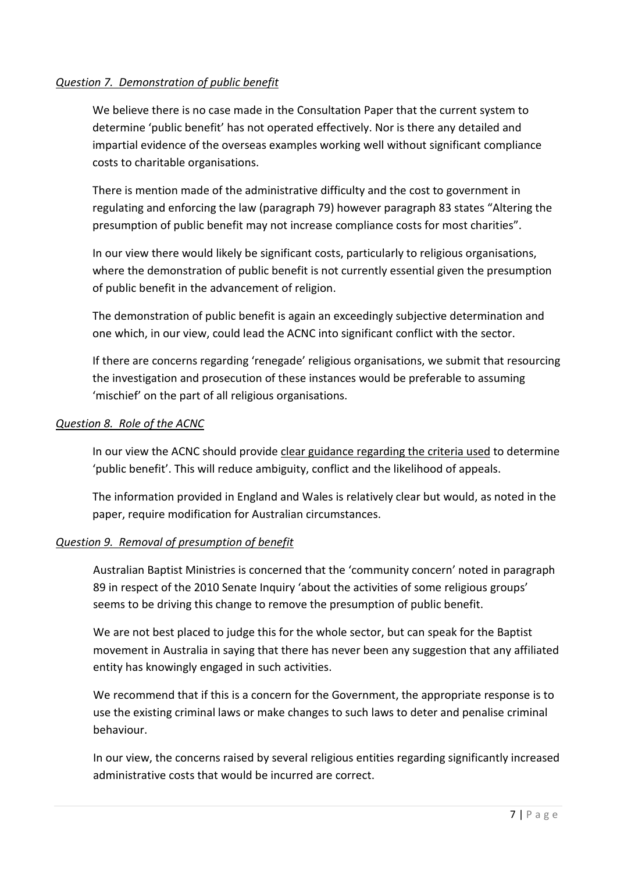# *Question 7. Demonstration of public benefit*

We believe there is no case made in the Consultation Paper that the current system to determine 'public benefit' has not operated effectively. Nor is there any detailed and impartial evidence of the overseas examples working well without significant compliance costs to charitable organisations.

There is mention made of the administrative difficulty and the cost to government in regulating and enforcing the law (paragraph 79) however paragraph 83 states "Altering the presumption of public benefit may not increase compliance costs for most charities".

In our view there would likely be significant costs, particularly to religious organisations, where the demonstration of public benefit is not currently essential given the presumption of public benefit in the advancement of religion.

The demonstration of public benefit is again an exceedingly subjective determination and one which, in our view, could lead the ACNC into significant conflict with the sector.

If there are concerns regarding 'renegade' religious organisations, we submit that resourcing the investigation and prosecution of these instances would be preferable to assuming 'mischief' on the part of all religious organisations.

## *Question 8. Role of the ACNC*

In our view the ACNC should provide clear guidance regarding the criteria used to determine 'public benefit'. This will reduce ambiguity, conflict and the likelihood of appeals.

The information provided in England and Wales is relatively clear but would, as noted in the paper, require modification for Australian circumstances.

# *Question 9. Removal of presumption of benefit*

Australian Baptist Ministries is concerned that the 'community concern' noted in paragraph 89 in respect of the 2010 Senate Inquiry 'about the activities of some religious groups' seems to be driving this change to remove the presumption of public benefit.

We are not best placed to judge this for the whole sector, but can speak for the Baptist movement in Australia in saying that there has never been any suggestion that any affiliated entity has knowingly engaged in such activities.

We recommend that if this is a concern for the Government, the appropriate response is to use the existing criminal laws or make changes to such laws to deter and penalise criminal behaviour.

In our view, the concerns raised by several religious entities regarding significantly increased administrative costs that would be incurred are correct.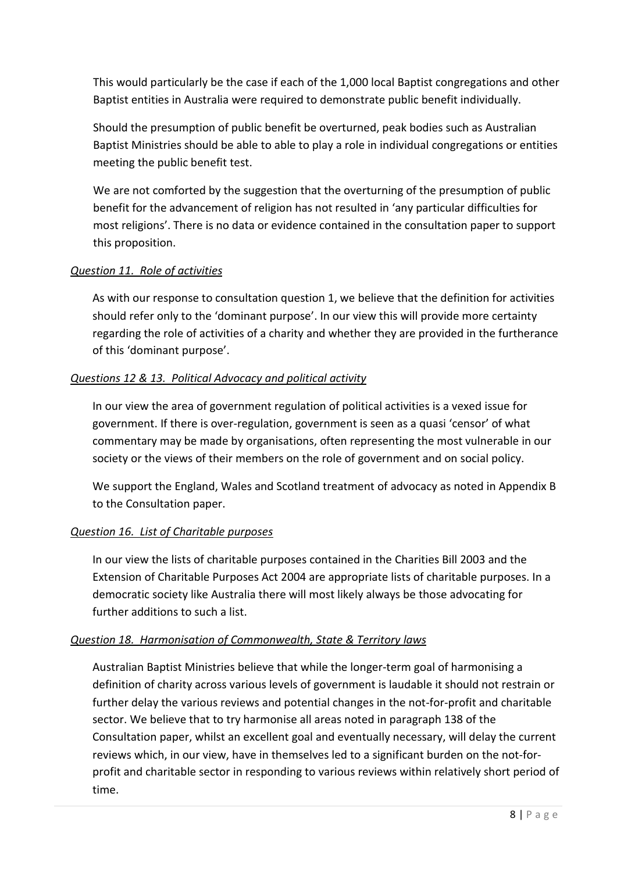This would particularly be the case if each of the 1,000 local Baptist congregations and other Baptist entities in Australia were required to demonstrate public benefit individually.

Should the presumption of public benefit be overturned, peak bodies such as Australian Baptist Ministries should be able to able to play a role in individual congregations or entities meeting the public benefit test.

We are not comforted by the suggestion that the overturning of the presumption of public benefit for the advancement of religion has not resulted in 'any particular difficulties for most religions'. There is no data or evidence contained in the consultation paper to support this proposition.

# *Question 11. Role of activities*

As with our response to consultation question 1, we believe that the definition for activities should refer only to the 'dominant purpose'. In our view this will provide more certainty regarding the role of activities of a charity and whether they are provided in the furtherance of this 'dominant purpose'.

## *Questions 12 & 13. Political Advocacy and political activity*

In our view the area of government regulation of political activities is a vexed issue for government. If there is over-regulation, government is seen as a quasi 'censor' of what commentary may be made by organisations, often representing the most vulnerable in our society or the views of their members on the role of government and on social policy.

We support the England, Wales and Scotland treatment of advocacy as noted in Appendix B to the Consultation paper.

# *Question 16. List of Charitable purposes*

In our view the lists of charitable purposes contained in the Charities Bill 2003 and the Extension of Charitable Purposes Act 2004 are appropriate lists of charitable purposes. In a democratic society like Australia there will most likely always be those advocating for further additions to such a list.

#### *Question 18. Harmonisation of Commonwealth, State & Territory laws*

Australian Baptist Ministries believe that while the longer-term goal of harmonising a definition of charity across various levels of government is laudable it should not restrain or further delay the various reviews and potential changes in the not-for-profit and charitable sector. We believe that to try harmonise all areas noted in paragraph 138 of the Consultation paper, whilst an excellent goal and eventually necessary, will delay the current reviews which, in our view, have in themselves led to a significant burden on the not-forprofit and charitable sector in responding to various reviews within relatively short period of time.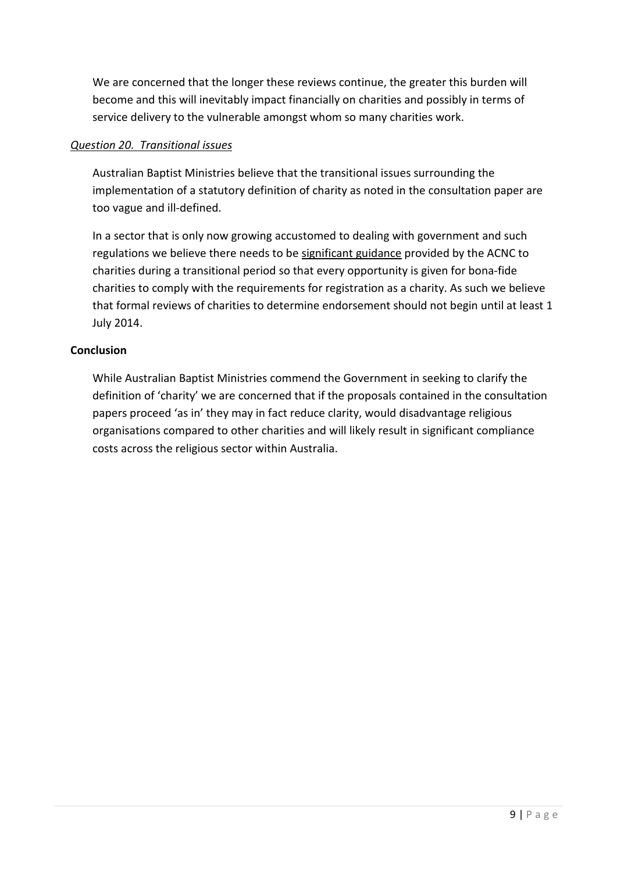We are concerned that the longer these reviews continue, the greater this burden will become and this will inevitably impact financially on charities and possibly in terms of service delivery to the vulnerable amongst whom so many charities work.

#### *Question 20. Transitional issues*

Australian Baptist Ministries believe that the transitional issues surrounding the implementation of a statutory definition of charity as noted in the consultation paper are too vague and ill-defined.

In a sector that is only now growing accustomed to dealing with government and such regulations we believe there needs to be significant guidance provided by the ACNC to charities during a transitional period so that every opportunity is given for bona-fide charities to comply with the requirements for registration as a charity. As such we believe that formal reviews of charities to determine endorsement should not begin until at least 1 July 2014.

#### **Conclusion**

While Australian Baptist Ministries commend the Government in seeking to clarify the definition of 'charity' we are concerned that if the proposals contained in the consultation papers proceed 'as in' they may in fact reduce clarity, would disadvantage religious organisations compared to other charities and will likely result in significant compliance costs across the religious sector within Australia.